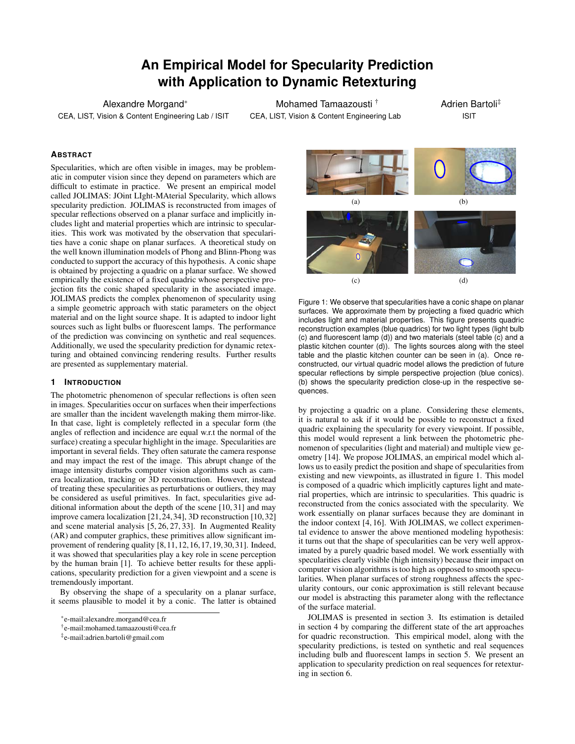# **An Empirical Model for Specularity Prediction with Application to Dynamic Retexturing**

Alexandre Morgand<sup>∗</sup>

CEA, LIST, Vision & Content Engineering Lab / ISIT

Mohamed Tamaazousti † CEA, LIST, Vision & Content Engineering Lab Adrien Bartoli‡ ISIT

# **ABSTRACT**

Specularities, which are often visible in images, may be problematic in computer vision since they depend on parameters which are difficult to estimate in practice. We present an empirical model called JOLIMAS: JOint LIght-MAterial Specularity, which allows specularity prediction. JOLIMAS is reconstructed from images of specular reflections observed on a planar surface and implicitly includes light and material properties which are intrinsic to specularities. This work was motivated by the observation that specularities have a conic shape on planar surfaces. A theoretical study on the well known illumination models of Phong and Blinn-Phong was conducted to support the accuracy of this hypothesis. A conic shape is obtained by projecting a quadric on a planar surface. We showed empirically the existence of a fixed quadric whose perspective projection fits the conic shaped specularity in the associated image. JOLIMAS predicts the complex phenomenon of specularity using a simple geometric approach with static parameters on the object material and on the light source shape. It is adapted to indoor light sources such as light bulbs or fluorescent lamps. The performance of the prediction was convincing on synthetic and real sequences. Additionally, we used the specularity prediction for dynamic retexturing and obtained convincing rendering results. Further results are presented as supplementary material.

# **1 INTRODUCTION**

The photometric phenomenon of specular reflections is often seen in images. Specularities occur on surfaces when their imperfections are smaller than the incident wavelength making them mirror-like. In that case, light is completely reflected in a specular form (the angles of reflection and incidence are equal w.r.t the normal of the surface) creating a specular highlight in the image. Specularities are important in several fields. They often saturate the camera response and may impact the rest of the image. This abrupt change of the image intensity disturbs computer vision algorithms such as camera localization, tracking or 3D reconstruction. However, instead of treating these specularities as perturbations or outliers, they may be considered as useful primitives. In fact, specularities give additional information about the depth of the scene [10, 31] and may improve camera localization [21,24,34], 3D reconstruction [10,32] and scene material analysis [5, 26, 27, 33]. In Augmented Reality (AR) and computer graphics, these primitives allow significant improvement of rendering quality [8, 11, 12, 16, 17, 19, 30, 31]. Indeed, it was showed that specularities play a key role in scene perception by the human brain [1]. To achieve better results for these applications, specularity prediction for a given viewpoint and a scene is tremendously important.

By observing the shape of a specularity on a planar surface, it seems plausible to model it by a conic. The latter is obtained



Figure 1: We observe that specularities have a conic shape on planar surfaces. We approximate them by projecting a fixed quadric which includes light and material properties. This figure presents quadric reconstruction examples (blue quadrics) for two light types (light bulb (c) and fluorescent lamp (d)) and two materials (steel table (c) and a plastic kitchen counter (d)). The lights sources along with the steel table and the plastic kitchen counter can be seen in (a). Once reconstructed, our virtual quadric model allows the prediction of future specular reflections by simple perspective projection (blue conics). (b) shows the specularity prediction close-up in the respective sequences.

by projecting a quadric on a plane. Considering these elements, it is natural to ask if it would be possible to reconstruct a fixed quadric explaining the specularity for every viewpoint. If possible, this model would represent a link between the photometric phenomenon of specularities (light and material) and multiple view geometry [14]. We propose JOLIMAS, an empirical model which allows us to easily predict the position and shape of specularities from existing and new viewpoints, as illustrated in figure 1. This model is composed of a quadric which implicitly captures light and material properties, which are intrinsic to specularities. This quadric is reconstructed from the conics associated with the specularity. We work essentially on planar surfaces because they are dominant in the indoor context [4, 16]. With JOLIMAS, we collect experimental evidence to answer the above mentioned modeling hypothesis: it turns out that the shape of specularities can be very well approximated by a purely quadric based model. We work essentially with specularities clearly visible (high intensity) because their impact on computer vision algorithms is too high as opposed to smooth specularities. When planar surfaces of strong roughness affects the specularity contours, our conic approximation is still relevant because our model is abstracting this parameter along with the reflectance of the surface material.

JOLIMAS is presented in section 3. Its estimation is detailed in section 4 by comparing the different state of the art approaches for quadric reconstruction. This empirical model, along with the specularity predictions, is tested on synthetic and real sequences including bulb and fluorescent lamps in section 5. We present an application to specularity prediction on real sequences for retexturing in section 6.

<sup>∗</sup> e-mail:alexandre.morgand@cea.fr

<sup>†</sup> e-mail:mohamed.tamaazousti@cea.fr

<sup>‡</sup> e-mail:adrien.bartoli@gmail.com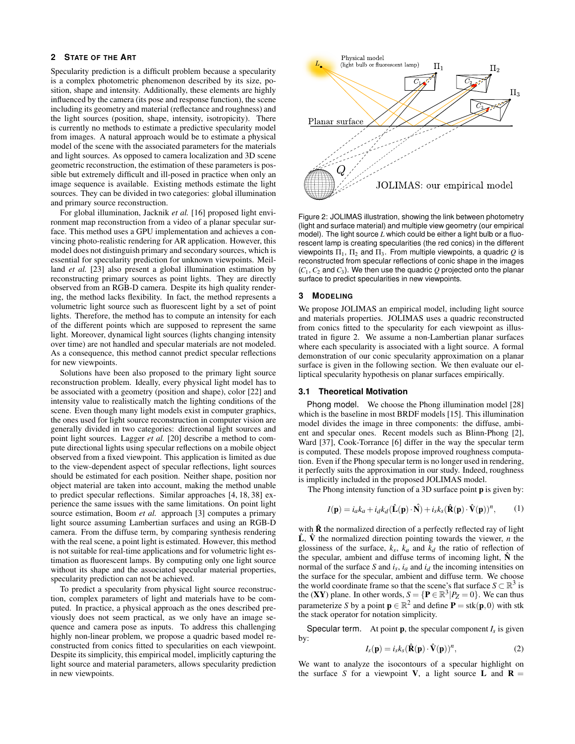# **2 STATE OF THE ART**

Specularity prediction is a difficult problem because a specularity is a complex photometric phenomenon described by its size, position, shape and intensity. Additionally, these elements are highly influenced by the camera (its pose and response function), the scene including its geometry and material (reflectance and roughness) and the light sources (position, shape, intensity, isotropicity). There is currently no methods to estimate a predictive specularity model from images. A natural approach would be to estimate a physical model of the scene with the associated parameters for the materials and light sources. As opposed to camera localization and 3D scene geometric reconstruction, the estimation of these parameters is possible but extremely difficult and ill-posed in practice when only an image sequence is available. Existing methods estimate the light sources. They can be divided in two categories: global illumination and primary source reconstruction.

For global illumination, Jacknik *et al.* [16] proposed light environment map reconstruction from a video of a planar specular surface. This method uses a GPU implementation and achieves a convincing photo-realistic rendering for AR application. However, this model does not distinguish primary and secondary sources, which is essential for specularity prediction for unknown viewpoints. Meilland *et al.* [23] also present a global illumination estimation by reconstructing primary sources as point lights. They are directly observed from an RGB-D camera. Despite its high quality rendering, the method lacks flexibility. In fact, the method represents a volumetric light source such as fluorescent light by a set of point lights. Therefore, the method has to compute an intensity for each of the different points which are supposed to represent the same light. Moreover, dynamical light sources (lights changing intensity over time) are not handled and specular materials are not modeled. As a consequence, this method cannot predict specular reflections for new viewpoints.

Solutions have been also proposed to the primary light source reconstruction problem. Ideally, every physical light model has to be associated with a geometry (position and shape), color [22] and intensity value to realistically match the lighting conditions of the scene. Even though many light models exist in computer graphics, the ones used for light source reconstruction in computer vision are generally divided in two categories: directional light sources and point light sources. Lagger *et al.* [20] describe a method to compute directional lights using specular reflections on a mobile object observed from a fixed viewpoint. This application is limited as due to the view-dependent aspect of specular reflections, light sources should be estimated for each position. Neither shape, position nor object material are taken into account, making the method unable to predict specular reflections. Similar approaches [4, 18, 38] experience the same issues with the same limitations. On point light source estimation, Boom *et al.* approach [3] computes a primary light source assuming Lambertian surfaces and using an RGB-D camera. From the diffuse term, by comparing synthesis rendering with the real scene, a point light is estimated. However, this method is not suitable for real-time applications and for volumetric light estimation as fluorescent lamps. By computing only one light source without its shape and the associated specular material properties, specularity prediction can not be achieved.

To predict a specularity from physical light source reconstruction, complex parameters of light and materials have to be computed. In practice, a physical approach as the ones described previously does not seem practical, as we only have an image sequence and camera pose as inputs. To address this challenging highly non-linear problem, we propose a quadric based model reconstructed from conics fitted to specularities on each viewpoint. Despite its simplicity, this empirical model, implicitly capturing the light source and material parameters, allows specularity prediction in new viewpoints.



Figure 2: JOLIMAS illustration, showing the link between photometry (light and surface material) and multiple view geometry (our empirical model). The light source *L* which could be either a light bulb or a fluorescent lamp is creating specularities (the red conics) in the different viewpoints  $\Pi_1$ ,  $\Pi_2$  and  $\Pi_3$ . From multiple viewpoints, a quadric  $Q$  is reconstructed from specular reflections of conic shape in the images  $(C_1, C_2$  and  $C_3$ ). We then use the quadric Q projected onto the planar surface to predict specularities in new viewpoints.

## **3 MODELING**

We propose JOLIMAS an empirical model, including light source and materials properties. JOLIMAS uses a quadric reconstructed from conics fitted to the specularity for each viewpoint as illustrated in figure 2. We assume a non-Lambertian planar surfaces where each specularity is associated with a light source. A formal demonstration of our conic specularity approximation on a planar surface is given in the following section. We then evaluate our elliptical specularity hypothesis on planar surfaces empirically.

## **3.1 Theoretical Motivation**

Phong model. We choose the Phong illumination model [28] which is the baseline in most BRDF models [15]. This illumination model divides the image in three components: the diffuse, ambient and specular ones. Recent models such as Blinn-Phong [2], Ward [37], Cook-Torrance [6] differ in the way the specular term is computed. These models propose improved roughness computation. Even if the Phong specular term is no longer used in rendering, it perfectly suits the approximation in our study. Indeed, roughness is implicitly included in the proposed JOLIMAS model.

The Phong intensity function of a 3D surface point **p** is given by:

$$
I(\mathbf{p}) = i_a k_a + i_d k_d (\hat{\mathbf{L}}(\mathbf{p}) \cdot \hat{\mathbf{N}}) + i_s k_s (\hat{\mathbf{R}}(\mathbf{p}) \cdot \hat{\mathbf{V}}(\mathbf{p}))^n, \qquad (1)
$$

with  $\hat{\mathbf{R}}$  the normalized direction of a perfectly reflected ray of light  $\hat{L}$ ,  $\hat{V}$  the normalized direction pointing towards the viewer, *n* the glossiness of the surface,  $k_s$ ,  $k_a$  and  $k_d$  the ratio of reflection of the specular, ambient and diffuse terms of incoming light,  $\hat{N}$  the normal of the surface *S* and  $i_s$ ,  $i_a$  and  $i_d$  the incoming intensities on the surface for the specular, ambient and diffuse term. We choose the world coordinate frame so that the scene's flat surface  $S \subset \mathbb{R}^3$  is the (XY) plane. In other words,  $S = \{P \in \mathbb{R}^3 | P_Z = 0\}$ . We can thus parameterize *S* by a point  $\mathbf{p} \in \mathbb{R}^2$  and define  $\mathbf{P} = \text{stk}(\mathbf{p}, 0)$  with stk the stack operator for notation simplicity.

Specular term. At point  $\mathbf{p}$ , the specular component  $I_s$  is given by:

$$
I_s(\mathbf{p}) = i_s k_s (\hat{\mathbf{R}}(\mathbf{p}) \cdot \hat{\mathbf{V}}(\mathbf{p}))^n, \qquad (2)
$$

We want to analyze the isocontours of a specular highlight on the surface *S* for a viewpoint **V**, a light source **L** and  $\mathbf{R} =$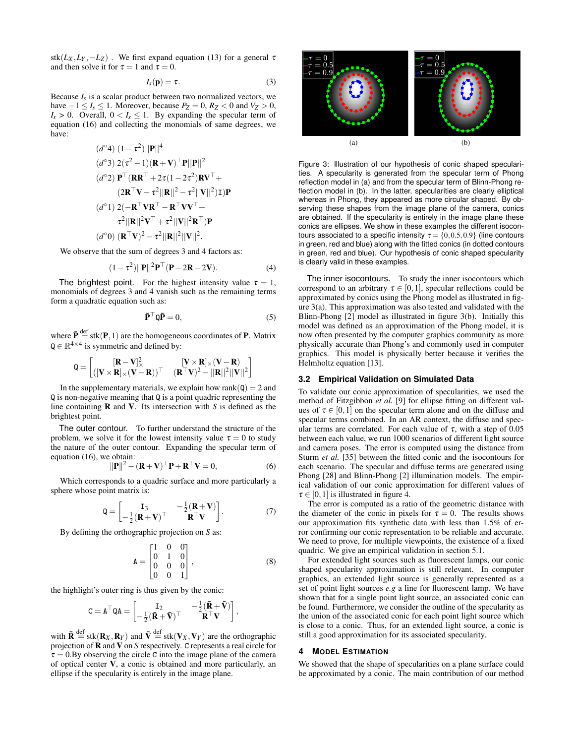stk( $L_X, L_Y, -L_Z$ ). We first expand equation (13) for a general  $\tau$ and then solve it for  $\tau = 1$  and  $\tau = 0$ .

$$
I_s(\mathbf{p}) = \tau. \tag{3}
$$

Because  $I_s$  is a scalar product between two normalized vectors, we have  $-1 \leq I_s \leq 1$ . Moreover, because  $P_Z = 0$ ,  $R_Z < 0$  and  $V_Z > 0$ ,  $I_s > 0$ . Overall,  $0 < I_s \leq 1$ . By expanding the specular term of equation (16) and collecting the monomials of same degrees, we have:

$$
(d^{\circ}4) (1 - \tau^2)||\mathbf{P}||^4
$$
  
\n
$$
(d^{\circ}3) 2(\tau^2 - 1)(\mathbf{R} + \mathbf{V})^{\top}\mathbf{P}||\mathbf{P}||^2
$$
  
\n
$$
(d^{\circ}2) \mathbf{P}^{\top}(\mathbf{R}\mathbf{R}^{\top} + 2\tau(1 - 2\tau^2)\mathbf{R}\mathbf{V}^{\top} + (2\mathbf{R}^{\top}\mathbf{V} - \tau^2||\mathbf{R}||^2 - \tau^2||\mathbf{V}||^2)\mathbf{I})\mathbf{P}
$$
  
\n
$$
(d^{\circ}1) 2(-\mathbf{R}^{\top}\mathbf{V}\mathbf{R}^{\top} - \mathbf{R}^{\top}\mathbf{V}\mathbf{V}^{\top} + \tau^2||\mathbf{V}||^2\mathbf{R}^{\top})\mathbf{P}
$$
  
\n
$$
(d^{\circ}0) (\mathbf{R}^{\top}\mathbf{V})^2 - \tau^2||\mathbf{R}||^2||\mathbf{V}||^2.
$$

We observe that the sum of degrees 3 and 4 factors as:

$$
(1 - \tau^2) ||\mathbf{P}||^2 \mathbf{P}^\top (\mathbf{P} - 2\mathbf{R} - 2\mathbf{V}). \tag{4}
$$

The brightest point. For the highest intensity value  $\tau = 1$ , monomials of degrees 3 and 4 vanish such as the remaining terms form a quadratic equation such as:

$$
\tilde{\mathbf{P}}^{\top} \mathbf{Q} \tilde{\mathbf{P}} = 0,\tag{5}
$$

where  $\tilde{\mathbf{P}} \stackrel{\text{def}}{=}$  stk $(\mathbf{P}, 1)$  are the homogeneous coordinates of **P**. Matrix  $Q \in \mathbb{R}^{4 \times 4}$  is symmetric and defined by:

$$
\mathtt{Q}=\begin{bmatrix} [\boldsymbol{R}-\boldsymbol{V}]_{\times}^{2} & [\boldsymbol{V}\times\boldsymbol{R}]_{\times}(\boldsymbol{V}-\boldsymbol{R}) \\ ([\boldsymbol{V}\times\boldsymbol{R}]_{\times}(\boldsymbol{V}-\boldsymbol{R}))^{\top} & (\boldsymbol{R}^{\top}\boldsymbol{V})^{2}-||\boldsymbol{R}||^{2}||\boldsymbol{V}||^{2} \end{bmatrix}
$$

In the supplementary materials, we explain how rank( $Q$ ) = 2 and Q is non-negative meaning that Q is a point quadric representing the line containing R and V. Its intersection with *S* is defined as the brightest point.

The outer contour. To further understand the structure of the problem, we solve it for the lowest intensity value  $\tau = 0$  to study the nature of the outer contour. Expanding the specular term of equation (16), we obtain:

$$
\|\mathbf{P}\|^2 - (\mathbf{R} + \mathbf{V})^\top \mathbf{P} + \mathbf{R}^\top \mathbf{V} = 0,\tag{6}
$$

Which corresponds to a quadric surface and more particularly a sphere whose point matrix is:

$$
\mathbf{Q} = \begin{bmatrix} \mathbf{I}_3 & -\frac{1}{2}(\mathbf{R} + \mathbf{V}) \\ -\frac{1}{2}(\mathbf{R} + \mathbf{V})^\top & \mathbf{R}^\top \mathbf{V} \end{bmatrix} . \tag{7}
$$

By defining the orthographic projection on *S* as:

$$
\mathbf{A} = \begin{bmatrix} 1 & 0 & 0 \\ 0 & 1 & 0 \\ 0 & 0 & 0 \\ 0 & 0 & 1 \end{bmatrix}, \tag{8}
$$

the highlight's outer ring is thus given by the conic:

$$
C = A^\top Q A = \begin{bmatrix} \mathbf{I}_2 & -\frac{1}{2}(\bar{\mathbf{R}}+\bar{\mathbf{V}}) \\ -\frac{1}{2}(\bar{\mathbf{R}}+\bar{\mathbf{V}})^\top & \mathbf{R}^\top \mathbf{V} \end{bmatrix},
$$

with  $\bar{\mathbf{R}} \stackrel{\text{def}}{=}$  stk $(\mathbf{R}_X, \mathbf{R}_Y)$  and  $\bar{\mathbf{V}} \stackrel{\text{def}}{=}$  stk $(\mathbf{V}_X, \mathbf{V}_Y)$  are the orthographic projection of R and V on *S* respectively. C represents a real circle for  $\tau = 0.$ By observing the circle C into the image plane of the camera of optical center V, a conic is obtained and more particularly, an ellipse if the specularity is entirely in the image plane.



Figure 3: Illustration of our hypothesis of conic shaped specularities. A specularity is generated from the specular term of Phong reflection model in (a) and from the specular term of Blinn-Phong reflection model in (b). In the latter, specularities are clearly elliptical whereas in Phong, they appeared as more circular shaped. By observing these shapes from the image plane of the camera, conics are obtained. If the specularity is entirely in the image plane these conics are ellipses. We show in these examples the different isocontours associated to a specific intensity  $\tau = \{0, 0.5, 0.9\}$  (line contours in green, red and blue) along with the fitted conics (in dotted contours in green, red and blue). Our hypothesis of conic shaped specularity is clearly valid in these examples.

The inner isocontours. To study the inner isocontours which correspond to an arbitrary  $\tau \in [0,1]$ , specular reflections could be approximated by conics using the Phong model as illustrated in figure 3(a). This approximation was also tested and validated with the Blinn-Phong [2] model as illustrated in figure 3(b). Initially this model was defined as an approximation of the Phong model, it is now often presented by the computer graphics community as more physically accurate than Phong's and commonly used in computer graphics. This model is physically better because it verifies the Helmholtz equation [13].

#### **3.2 Empirical Validation on Simulated Data**

To validate our conic approximation of specularities, we used the method of Fitzgibbon *et al.* [9] for ellipse fitting on different values of  $\tau \in [0,1]$  on the specular term alone and on the diffuse and specular terms combined. In an AR context, the diffuse and specular terms are correlated. For each value of  $\tau$ , with a step of 0.05 between each value, we run 1000 scenarios of different light source and camera poses. The error is computed using the distance from Sturm *et al.* [35] between the fitted conic and the isocontours for each scenario. The specular and diffuse terms are generated using Phong [28] and Blinn-Phong [2] illumination models. The empirical validation of our conic approximation for different values of  $\tau \in [0,1]$  is illustrated in figure 4.

The error is computed as a ratio of the geometric distance with the diameter of the conic in pixels for  $\tau = 0$ . The results shows our approximation fits synthetic data with less than 1.5% of error confirming our conic representation to be reliable and accurate. We need to prove, for multiple viewpoints, the existence of a fixed quadric. We give an empirical validation in section 5.1.

For extended light sources such as fluorescent lamps, our conic shaped specularity approximation is still relevant. In computer graphics, an extended light source is generally represented as a set of point light sources *e.g* a line for fluorescent lamp. We have shown that for a single point light source, an associated conic can be found. Furthermore, we consider the outline of the specularity as the union of the associated conic for each point light source which is close to a conic. Thus, for an extended light source, a conic is still a good approximation for its associated specularity.

#### **4 MODEL ESTIMATION**

We showed that the shape of specularities on a plane surface could be approximated by a conic. The main contribution of our method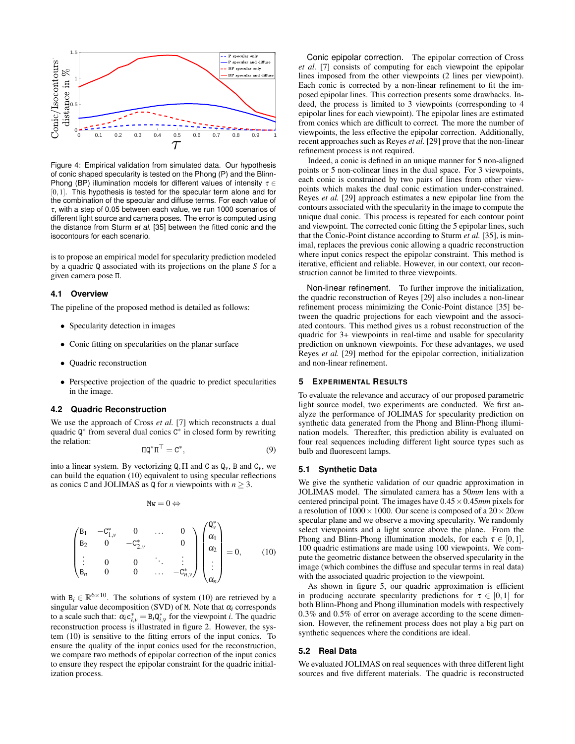

Figure 4: Empirical validation from simulated data. Our hypothesis of conic shaped specularity is tested on the Phong (P) and the Blinn-Phong (BP) illumination models for different values of intensity  $\tau \in$  $[0,1]$ . This hypothesis is tested for the specular term alone and for the combination of the specular and diffuse terms. For each value of  $\tau$ , with a step of 0.05 between each value, we run 1000 scenarios of different light source and camera poses. The error is computed using the distance from Sturm *et al.* [35] between the fitted conic and the isocontours for each scenario.

is to propose an empirical model for specularity prediction modeled by a quadric Q associated with its projections on the plane *S* for a given camera pose Π.

# **4.1 Overview**

The pipeline of the proposed method is detailed as follows:

- Specularity detection in images
- Conic fitting on specularities on the planar surface
- Quadric reconstruction
- Perspective projection of the quadric to predict specularities in the image.

# **4.2 Quadric Reconstruction**

We use the approach of Cross *et al.* [7] which reconstructs a dual quadric  $Q^*$  from several dual conics  $\overline{C^*}$  in closed form by rewriting the relation:

$$
\Pi \mathbf{Q}^* \Pi^\top = \mathbf{C}^*,\tag{9}
$$

into a linear system. By vectorizing  $Q$ ,  $\Pi$  and  $C$  as  $Q_v$ ,  $B$  and  $C_v$ , we can build the equation (10) equivalent to using specular reflections as conics C and JOLIMAS as Q for *n* viewpoints with  $n \geq 3$ .

$$
\mathtt{Mw}=0\Leftrightarrow
$$

$$
\begin{pmatrix}\nB_1 & -C_{1,\nu}^* & 0 & \dots & 0 \\
B_2 & 0 & -C_{2,\nu}^* & & 0 \\
\vdots & 0 & 0 & \ddots & \vdots \\
B_n & 0 & 0 & \dots & -C_{n,\nu}^*\n\end{pmatrix}\n\begin{pmatrix}\nQ_{\nu}^* \\
\alpha_1 \\
\alpha_2 \\
\vdots \\
\alpha_n\n\end{pmatrix} = 0, \quad (10)
$$

with  $B_i \in \mathbb{R}^{6 \times 10}$ . The solutions of system (10) are retrieved by a singular value decomposition (SVD) of M. Note that  $\alpha_i$  corresponds to a scale such that:  $\alpha_i c_{i,v}^* = B_i Q_{i,v}^*$  for the viewpoint *i*. The quadric reconstruction process is illustrated in figure 2. However, the system (10) is sensitive to the fitting errors of the input conics. To ensure the quality of the input conics used for the reconstruction, we compare two methods of epipolar correction of the input conics to ensure they respect the epipolar constraint for the quadric initialization process.

Conic epipolar correction. The epipolar correction of Cross *et al.* [7] consists of computing for each viewpoint the epipolar lines imposed from the other viewpoints (2 lines per viewpoint). Each conic is corrected by a non-linear refinement to fit the imposed epipolar lines. This correction presents some drawbacks. Indeed, the process is limited to 3 viewpoints (corresponding to 4 epipolar lines for each viewpoint). The epipolar lines are estimated from conics which are difficult to correct. The more the number of viewpoints, the less effective the epipolar correction. Additionally, recent approaches such as Reyes *et al.* [29] prove that the non-linear refinement process is not required.

Indeed, a conic is defined in an unique manner for 5 non-aligned points or 5 non-colinear lines in the dual space. For 3 viewpoints, each conic is constrained by two pairs of lines from other viewpoints which makes the dual conic estimation under-constrained. Reyes *et al.* [29] approach estimates a new epipolar line from the contours associated with the specularity in the image to compute the unique dual conic. This process is repeated for each contour point and viewpoint. The corrected conic fitting the 5 epipolar lines, such that the Conic-Point distance according to Sturm *et al.* [35], is minimal, replaces the previous conic allowing a quadric reconstruction where input conics respect the epipolar constraint. This method is iterative, efficient and reliable. However, in our context, our reconstruction cannot be limited to three viewpoints.

Non-linear refinement. To further improve the initialization, the quadric reconstruction of Reyes [29] also includes a non-linear refinement process minimizing the Conic-Point distance [35] between the quadric projections for each viewpoint and the associated contours. This method gives us a robust reconstruction of the quadric for 3+ viewpoints in real-time and usable for specularity prediction on unknown viewpoints. For these advantages, we used Reyes *et al.* [29] method for the epipolar correction, initialization and non-linear refinement.

#### **5 EXPERIMENTAL RESULTS**

To evaluate the relevance and accuracy of our proposed parametric light source model, two experiments are conducted. We first analyze the performance of JOLIMAS for specularity prediction on synthetic data generated from the Phong and Blinn-Phong illumination models. Thereafter, this prediction ability is evaluated on four real sequences including different light source types such as bulb and fluorescent lamps.

# **5.1 Synthetic Data**

We give the synthetic validation of our quadric approximation in JOLIMAS model. The simulated camera has a 50*mm* lens with a centered principal point. The images have 0.45×0.45*mm* pixels for a resolution of  $1000 \times 1000$ . Our scene is composed of a  $20 \times 20$ *cm* specular plane and we observe a moving specularity. We randomly select viewpoints and a light source above the plane. From the Phong and Blinn-Phong illumination models, for each  $\tau \in [0,1]$ , 100 quadric estimations are made using 100 viewpoints. We compute the geometric distance between the observed specularity in the image (which combines the diffuse and specular terms in real data) with the associated quadric projection to the viewpoint.

As shown in figure 5, our quadric approximation is efficient in producing accurate specularity predictions for  $\tau \in [0,1]$  for both Blinn-Phong and Phong illumination models with respectively 0.3% and 0.5% of error on average according to the scene dimension. However, the refinement process does not play a big part on synthetic sequences where the conditions are ideal.

# **5.2 Real Data**

We evaluated JOLIMAS on real sequences with three different light sources and five different materials. The quadric is reconstructed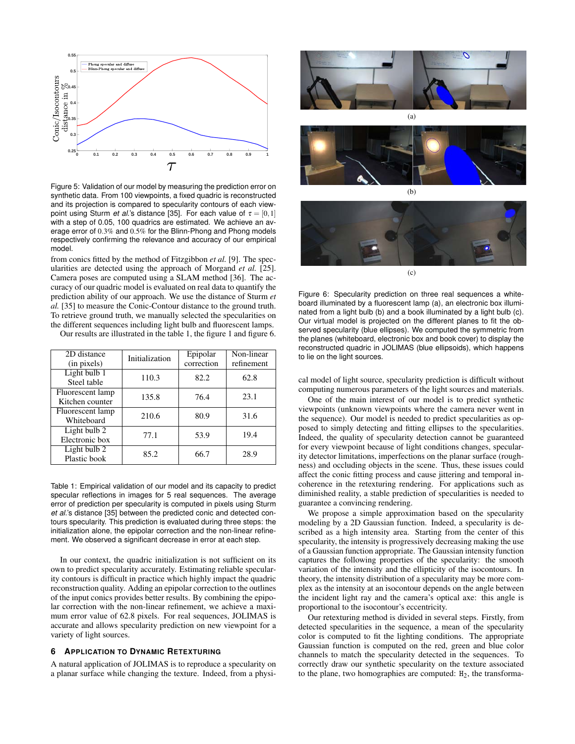

Figure 5: Validation of our model by measuring the prediction error on synthetic data. From 100 viewpoints, a fixed quadric is reconstructed and its projection is compared to specularity contours of each viewpoint using Sturm *et al.*'s distance [35]. For each value of  $\tau = [0,1]$ with a step of 0.05, 100 quadrics are estimated. We achieve an average error of 0.3% and 0.5% for the Blinn-Phong and Phong models respectively confirming the relevance and accuracy of our empirical model.

from conics fitted by the method of Fitzgibbon *et al.* [9]. The specularities are detected using the approach of Morgand *et al.* [25]. Camera poses are computed using a SLAM method [36]. The accuracy of our quadric model is evaluated on real data to quantify the prediction ability of our approach. We use the distance of Sturm *et al.* [35] to measure the Conic-Contour distance to the ground truth. To retrieve ground truth, we manually selected the specularities on the different sequences including light bulb and fluorescent lamps.

Our results are illustrated in the table 1, the figure 1 and figure 6.

| 2D distance<br>(in pixels)          | Initialization | Epipolar<br>correction | Non-linear<br>refinement |
|-------------------------------------|----------------|------------------------|--------------------------|
| Light bulb 1<br>Steel table         | 110.3          | 82.2                   | 62.8                     |
| Fluorescent lamp<br>Kitchen counter | 135.8          | 76.4                   | 23.1                     |
| Fluorescent lamp<br>Whiteboard      | 210.6          | 80.9                   | 31.6                     |
| Light bulb 2<br>Electronic box      | 77.1           | 53.9                   | 19.4                     |
| Light bulb 2<br>Plastic book        | 85.2           | 66.7                   | 28.9                     |

Table 1: Empirical validation of our model and its capacity to predict specular reflections in images for 5 real sequences. The average error of prediction per specularity is computed in pixels using Sturm *et al.*'s distance [35] between the predicted conic and detected contours specularity. This prediction is evaluated during three steps: the initialization alone, the epipolar correction and the non-linear refinement. We observed a significant decrease in error at each step.

In our context, the quadric initialization is not sufficient on its own to predict specularity accurately. Estimating reliable specularity contours is difficult in practice which highly impact the quadric reconstruction quality. Adding an epipolar correction to the outlines of the input conics provides better results. By combining the epipolar correction with the non-linear refinement, we achieve a maximum error value of 62.8 pixels. For real sequences, JOLIMAS is accurate and allows specularity prediction on new viewpoint for a variety of light sources.

#### **6 APPLICATION TO DYNAMIC RETEXTURING**

A natural application of JOLIMAS is to reproduce a specularity on a planar surface while changing the texture. Indeed, from a physi-





(c)

Figure 6: Specularity prediction on three real sequences a whiteboard illuminated by a fluorescent lamp (a), an electronic box illuminated from a light bulb (b) and a book illuminated by a light bulb (c). Our virtual model is projected on the different planes to fit the observed specularity (blue ellipses). We computed the symmetric from the planes (whiteboard, electronic box and book cover) to display the reconstructed quadric in JOLIMAS (blue ellipsoids), which happens to lie on the light sources.

cal model of light source, specularity prediction is difficult without computing numerous parameters of the light sources and materials.

One of the main interest of our model is to predict synthetic viewpoints (unknown viewpoints where the camera never went in the sequence). Our model is needed to predict specularities as opposed to simply detecting and fitting ellipses to the specularities. Indeed, the quality of specularity detection cannot be guaranteed for every viewpoint because of light conditions changes, specularity detector limitations, imperfections on the planar surface (roughness) and occluding objects in the scene. Thus, these issues could affect the conic fitting process and cause jittering and temporal incoherence in the retexturing rendering. For applications such as diminished reality, a stable prediction of specularities is needed to guarantee a convincing rendering.

We propose a simple approximation based on the specularity modeling by a 2D Gaussian function. Indeed, a specularity is described as a high intensity area. Starting from the center of this specularity, the intensity is progressively decreasing making the use of a Gaussian function appropriate. The Gaussian intensity function captures the following properties of the specularity: the smooth variation of the intensity and the ellipticity of the isocontours. In theory, the intensity distribution of a specularity may be more complex as the intensity at an isocontour depends on the angle between the incident light ray and the camera's optical axe: this angle is proportional to the isocontour's eccentricity.

Our retexturing method is divided in several steps. Firstly, from detected specularities in the sequence, a mean of the specularity color is computed to fit the lighting conditions. The appropriate Gaussian function is computed on the red, green and blue color channels to match the specularity detected in the sequences. To correctly draw our synthetic specularity on the texture associated to the plane, two homographies are computed:  $H_2$ , the transforma-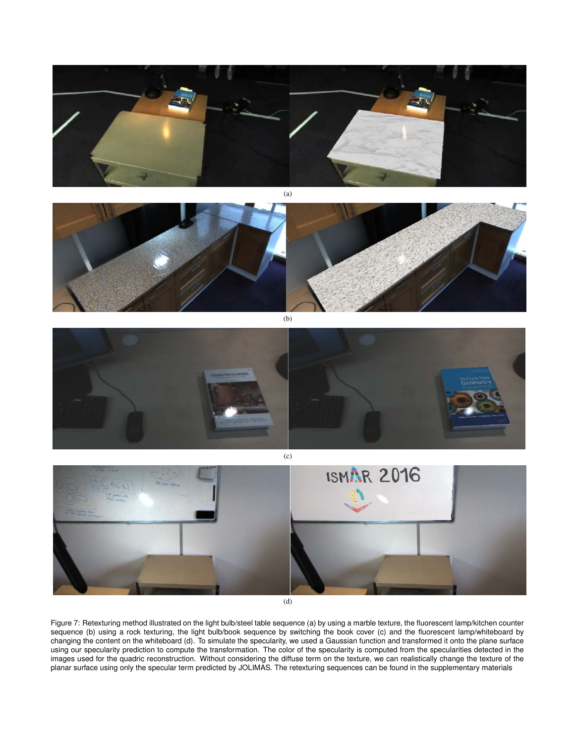

(a)







(d)

Figure 7: Retexturing method illustrated on the light bulb/steel table sequence (a) by using a marble texture, the fluorescent lamp/kitchen counter sequence (b) using a rock texturing, the light bulb/book sequence by switching the book cover (c) and the fluorescent lamp/whiteboard by changing the content on the whiteboard (d). To simulate the specularity, we used a Gaussian function and transformed it onto the plane surface using our specularity prediction to compute the transformation. The color of the specularity is computed from the specularities detected in the images used for the quadric reconstruction. Without considering the diffuse term on the texture, we can realistically change the texture of the planar surface using only the specular term predicted by JOLIMAS. The retexturing sequences can be found in the supplementary materials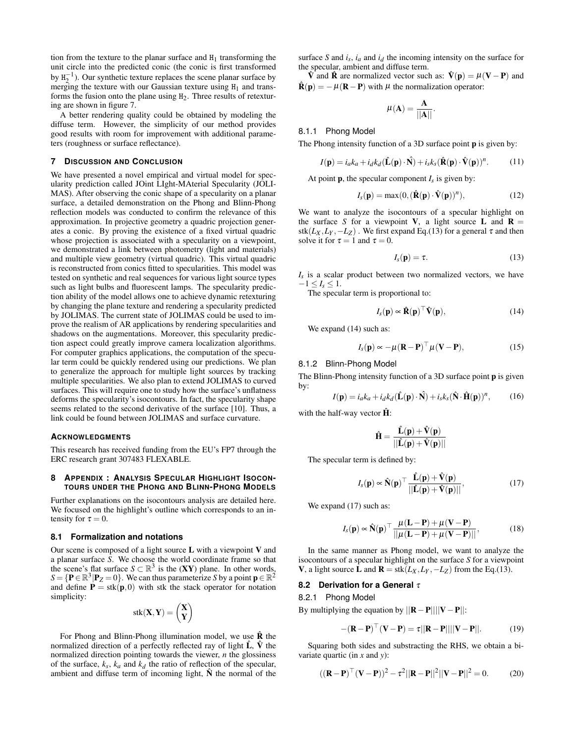tion from the texture to the planar surface and  $H_1$  transforming the unit circle into the predicted conic (the conic is first transformed by  $H_2^{-1}$ ). Our synthetic texture replaces the scene planar surface by merging the texture with our Gaussian texture using  $H_1$  and transforms the fusion onto the plane using  $H_2$ . Three results of retexturing are shown in figure 7.

A better rendering quality could be obtained by modeling the diffuse term. However, the simplicity of our method provides good results with room for improvement with additional parameters (roughness or surface reflectance).

#### **7 DISCUSSION AND CONCLUSION**

We have presented a novel empirical and virtual model for specularity prediction called JOint LIght-MAterial Specularity (JOLI-MAS). After observing the conic shape of a specularity on a planar surface, a detailed demonstration on the Phong and Blinn-Phong reflection models was conducted to confirm the relevance of this approximation. In projective geometry a quadric projection generates a conic. By proving the existence of a fixed virtual quadric whose projection is associated with a specularity on a viewpoint, we demonstrated a link between photometry (light and materials) and multiple view geometry (virtual quadric). This virtual quadric is reconstructed from conics fitted to specularities. This model was tested on synthetic and real sequences for various light source types such as light bulbs and fluorescent lamps. The specularity prediction ability of the model allows one to achieve dynamic retexturing by changing the plane texture and rendering a specularity predicted by JOLIMAS. The current state of JOLIMAS could be used to improve the realism of AR applications by rendering specularities and shadows on the augmentations. Moreover, this specularity prediction aspect could greatly improve camera localization algorithms. For computer graphics applications, the computation of the specular term could be quickly rendered using our predictions. We plan to generalize the approach for multiple light sources by tracking multiple specularities. We also plan to extend JOLIMAS to curved surfaces. This will require one to study how the surface's unflatness deforms the specularity's isocontours. In fact, the specularity shape seems related to the second derivative of the surface [10]. Thus, a link could be found between JOLIMAS and surface curvature.

#### **ACKNOWLEDGMENTS**

This research has received funding from the EU's FP7 through the ERC research grant 307483 FLEXABLE.

## **8 APPENDIX : ANALYSIS SPECULAR HIGHLIGHT ISOCON-TOURS UNDER THE PHONG AND BLINN-PHONG MODELS**

Further explanations on the isocontours analysis are detailed here. We focused on the highlight's outline which corresponds to an intensity for  $\tau = 0$ .

#### **8.1 Formalization and notations**

Our scene is composed of a light source  $L$  with a viewpoint  $V$  and a planar surface *S*. We choose the world coordinate frame so that the scene's flat surface  $S \subset \mathbb{R}^3$  is the  $XY$ ) plane. In other words,  $S = \{ \mathbf{P} \in \mathbb{R}^3 | \mathbf{P}_Z = 0 \}$ . We can thus parameterize *S* by a point  $\mathbf{p} \in \mathbb{R}^2$ and define  $\mathbf{P} =$ stk $(\mathbf{p},0)$  with stk the stack operator for notation simplicity:

$$
\text{stk}(X,Y) = \begin{pmatrix} X \\ Y \end{pmatrix}
$$

For Phong and Blinn-Phong illumination model, we use  $\hat{\mathbf{R}}$  the normalized direction of a perfectly reflected ray of light  $\hat{L}$ ,  $\hat{V}$  the normalized direction pointing towards the viewer, *n* the glossiness of the surface,  $k_s$ ,  $k_a$  and  $k_d$  the ratio of reflection of the specular, ambient and diffuse term of incoming light,  $\dot{N}$  the normal of the

surface *S* and  $i_s$ ,  $i_a$  and  $i_d$  the incoming intensity on the surface for the specular, ambient and diffuse term.

 $\hat{\mathbf{V}}$  and  $\hat{\mathbf{R}}$  are normalized vector such as:  $\hat{\mathbf{V}}(\mathbf{p}) = \mu(\mathbf{V} - \mathbf{P})$  and  $\hat{\mathbf{R}}(\mathbf{p}) = -\mu(\mathbf{R}-\mathbf{P})$  with  $\mu$  the normalization operator:

$$
\mu(\mathbf{A}) = \frac{\mathbf{A}}{||\mathbf{A}||}.
$$

#### 8.1.1 Phong Model

The Phong intensity function of a 3D surface point **p** is given by:

$$
I(\mathbf{p}) = i_a k_a + i_d k_d (\hat{\mathbf{L}}(\mathbf{p}) \cdot \hat{\mathbf{N}}) + i_s k_s (\hat{\mathbf{R}}(\mathbf{p}) \cdot \hat{\mathbf{V}}(\mathbf{p}))^n.
$$
 (11)

At point **p**, the specular component  $I_s$  is given by:

$$
I_s(\mathbf{p}) = \max(0, (\hat{\mathbf{R}}(\mathbf{p}) \cdot \hat{\mathbf{V}}(\mathbf{p}))^n), \tag{12}
$$

We want to analyze the isocontours of a specular highlight on the surface *S* for a viewpoint **V**, a light source **L** and  $\mathbf{R} =$ stk $(L_X, L_Y, -L_Z)$ . We first expand Eq.(13) for a general  $\tau$  and then solve it for  $\tau = 1$  and  $\tau = 0$ .

$$
I_s(\mathbf{p}) = \tau. \tag{13}
$$

 $I_s$  is a scalar product between two normalized vectors, we have  $-1 \leq I_s \leq 1$ .

The specular term is proportional to:

$$
I_s(\mathbf{p}) \propto \hat{\mathbf{R}}(\mathbf{p})^\top \hat{\mathbf{V}}(\mathbf{p}),\tag{14}
$$

We expand  $(14)$  such as:

$$
I_s(\mathbf{p}) \propto -\mu (\mathbf{R} - \mathbf{P})^\top \mu (\mathbf{V} - \mathbf{P}), \tag{15}
$$

#### 8.1.2 Blinn-Phong Model

The Blinn-Phong intensity function of a 3D surface point p is given by:

$$
I(\mathbf{p}) = i_a k_a + i_d k_d (\hat{\mathbf{L}}(\mathbf{p}) \cdot \hat{\mathbf{N}}) + i_s k_s (\hat{\mathbf{N}} \cdot \hat{\mathbf{H}}(\mathbf{p}))^n, \qquad (16)
$$

with the half-way vector  $\hat{H}$ :

$$
\hat{H} = \frac{\hat{L}(p) + \hat{V}(p)}{||\hat{L}(p) + \hat{V}(p)||}
$$

The specular term is defined by:

$$
I_{s}(\mathbf{p}) \propto \hat{\mathbf{N}}(\mathbf{p})^{\top} \frac{\hat{\mathbf{L}}(\mathbf{p}) + \hat{\mathbf{V}}(\mathbf{p})}{||\hat{\mathbf{L}}(\mathbf{p}) + \hat{\mathbf{V}}(\mathbf{p})||},
$$
(17)

We expand  $(17)$  such as:

$$
I_{\rm s}(\mathbf{p}) \propto \hat{\mathbf{N}}(\mathbf{p})^{\top} \frac{\mu(\mathbf{L} - \mathbf{P}) + \mu(\mathbf{V} - \mathbf{P})}{\|\mu(\mathbf{L} - \mathbf{P}) + \mu(\mathbf{V} - \mathbf{P})\|},\tag{18}
$$

In the same manner as Phong model, we want to analyze the isocontours of a specular highlight on the surface *S* for a viewpoint **V**, a light source **L** and **R** = stk( $L_X, L_Y, -L_Z$ ) from the Eq.(13).

# **8.2 Derivation for a General τ**

8.2.1 Phong Model

By multiplying the equation by  $||\mathbf{R}-\mathbf{P}||||\mathbf{V}-\mathbf{P}||$ :

$$
-(\mathbf{R} - \mathbf{P})^{\top} (\mathbf{V} - \mathbf{P}) = \tau ||\mathbf{R} - \mathbf{P}|| ||\mathbf{V} - \mathbf{P}||. \tag{19}
$$

Squaring both sides and substracting the RHS, we obtain a bivariate quartic (in *x* and *y*):

$$
((\mathbf{R} - \mathbf{P})^{\top} (\mathbf{V} - \mathbf{P}))^{2} - \tau^{2} ||\mathbf{R} - \mathbf{P}||^{2} ||\mathbf{V} - \mathbf{P}||^{2} = 0.
$$
 (20)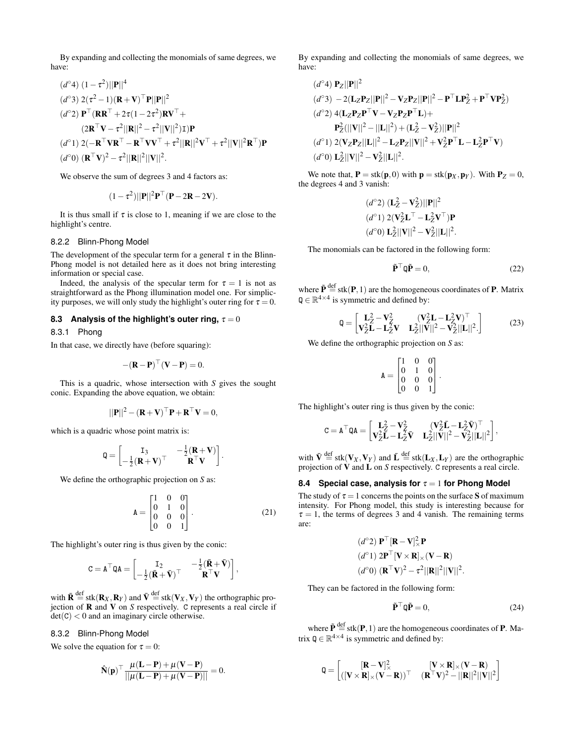By expanding and collecting the monomials of same degrees, we have:

$$
(d^{\circ}4) (1 - \tau^2)||\mathbf{P}||^4
$$
  
\n
$$
(d^{\circ}3) 2(\tau^2 - 1)(\mathbf{R} + \mathbf{V})^{\top}\mathbf{P}||\mathbf{P}||^2
$$
  
\n
$$
(d^{\circ}2) \mathbf{P}^{\top}(\mathbf{R}\mathbf{R}^{\top} + 2\tau(1 - 2\tau^2)\mathbf{R}\mathbf{V}^{\top} +
$$
  
\n
$$
(2\mathbf{R}^{\top}\mathbf{V} - \tau^2||\mathbf{R}||^2 - \tau^2||\mathbf{V}||^2)\mathbf{I})\mathbf{P}
$$
  
\n
$$
(d^{\circ}1) 2(-\mathbf{R}^{\top}\mathbf{V}\mathbf{R}^{\top} - \mathbf{R}^{\top}\mathbf{V}\mathbf{V}^{\top} + \tau^2||\mathbf{R}||^2\mathbf{V}^{\top} + \tau^2||\mathbf{V}||^2\mathbf{R}^{\top})\mathbf{P}
$$
  
\n
$$
(d^{\circ}0) (\mathbf{R}^{\top}\mathbf{V})^2 - \tau^2||\mathbf{R}||^2||\mathbf{V}||^2.
$$

We observe the sum of degrees 3 and 4 factors as:

$$
(1-\tau^2)||\mathbf{P}||^2\mathbf{P}^\top(\mathbf{P}-2\mathbf{R}-2\mathbf{V}).
$$

It is thus small if  $\tau$  is close to 1, meaning if we are close to the highlight's centre.

## 8.2.2 Blinn-Phong Model

The development of the specular term for a general  $\tau$  in the Blinn-Phong model is not detailed here as it does not bring interesting information or special case.

Indeed, the analysis of the specular term for  $\tau = 1$  is not as straightforward as the Phong illumination model one. For simplicity purposes, we will only study the highlight's outer ring for  $\tau = 0$ .

# **8.3 Analysis of the highlight's outer ring,**  $\tau = 0$

8.3.1 Phong

In that case, we directly have (before squaring):

$$
-(\mathbf{R}-\mathbf{P})^{\top}(\mathbf{V}-\mathbf{P})=0.
$$

This is a quadric, whose intersection with *S* gives the sought conic. Expanding the above equation, we obtain:

$$
||\mathbf{P}||^2 - (\mathbf{R} + \mathbf{V})^{\top}\mathbf{P} + \mathbf{R}^{\top}\mathbf{V} = 0,
$$

which is a quadric whose point matrix is:

$$
\textbf{Q} = \begin{bmatrix} \textbf{I}_3 & -\frac{1}{2}(\textbf{R}+\textbf{V}) \\ -\frac{1}{2}(\textbf{R}+\textbf{V})^\top & \textbf{R}^\top\textbf{V} \end{bmatrix}.
$$

We define the orthographic projection on *S* as:

$$
\mathbf{A} = \begin{bmatrix} 1 & 0 & 0 \\ 0 & 1 & 0 \\ 0 & 0 & 0 \\ 0 & 0 & 1 \end{bmatrix} . \tag{21}
$$

The highlight's outer ring is thus given by the conic:

$$
\mathbf{C} = \mathbf{A}^{\top} \mathbf{Q} \mathbf{A} = \begin{bmatrix} \mathbf{I}_2 & -\frac{1}{2} (\bar{\mathbf{R}} + \bar{\mathbf{V}}) \\ -\frac{1}{2} (\bar{\mathbf{R}} + \bar{\mathbf{V}})^{\top} & \mathbf{R}^{\top} \mathbf{V} \end{bmatrix},
$$

with  $\bar{\mathbf{R}} \stackrel{\text{def}}{=}$  stk $(\mathbf{R}_X, \mathbf{R}_Y)$  and  $\bar{\mathbf{V}} \stackrel{\text{def}}{=}$  stk $(\mathbf{V}_X, \mathbf{V}_Y)$  the orthographic projection of R and V on *S* respectively. C represents a real circle if  $det(C) < 0$  and an imaginary circle otherwise.

## 8.3.2 Blinn-Phong Model

We solve the equation for  $\tau = 0$ :

$$
\hat{\mathbf{N}}(\mathbf{p})^{\top} \frac{\mu(\mathbf{L} - \mathbf{P}) + \mu(\mathbf{V} - \mathbf{P})}{\|\mu(\mathbf{L} - \mathbf{P}) + \mu(\mathbf{V} - \mathbf{P})\|} = 0.
$$

By expanding and collecting the monomials of same degrees, we have:

$$
(d^{\circ}4) \mathbf{P}_Z ||\mathbf{P}||^2
$$
  
\n
$$
(d^{\circ}3) - 2(\mathbf{L}_Z \mathbf{P}_Z ||\mathbf{P}||^2 - \mathbf{V}_Z \mathbf{P}_Z ||\mathbf{P}||^2 - \mathbf{P}^\top \mathbf{L} \mathbf{P}_Z^2 + \mathbf{P}^\top \mathbf{V} \mathbf{P}_Z^2)
$$
  
\n
$$
(d^{\circ}2) 4(\mathbf{L}_Z \mathbf{P}_Z \mathbf{P}^\top \mathbf{V} - \mathbf{V}_Z \mathbf{P}_Z \mathbf{P}^\top \mathbf{L}) +
$$
  
\n
$$
\mathbf{P}_Z^2(||\mathbf{V}||^2 - ||\mathbf{L}||^2) + (\mathbf{L}_Z^2 - \mathbf{V}_Z^2)||\mathbf{P}||^2
$$
  
\n
$$
(d^{\circ}1) 2(\mathbf{V}_Z \mathbf{P}_Z ||\mathbf{L}||^2 - \mathbf{L}_Z \mathbf{P}_Z ||\mathbf{V}||^2 + \mathbf{V}_Z^2 \mathbf{P}^\top \mathbf{L} - \mathbf{L}_Z^2 \mathbf{P}^\top \mathbf{V})
$$
  
\n
$$
(d^{\circ}0) \mathbf{L}_Z^2 ||\mathbf{V}||^2 - \mathbf{V}_Z^2 ||\mathbf{L}||^2.
$$

We note that,  $P = stk(p,0)$  with  $p = stk(p_X, p_Y)$ . With  $P_Z = 0$ , the degrees 4 and 3 vanish:

$$
(d^{\circ}2) \left(\mathbf{L}_{Z}^{2} - \mathbf{V}_{Z}^{2}\right) ||\mathbf{P}||^{2}
$$

$$
(d^{\circ}1) 2(\mathbf{V}_{Z}^{2}\mathbf{L}^{\top} - \mathbf{L}_{Z}^{2}\mathbf{V}^{\top})\mathbf{P}
$$

$$
(d^{\circ}0) \mathbf{L}_{Z}^{2} ||\mathbf{V}||^{2} - \mathbf{V}_{Z}^{2} ||\mathbf{L}||^{2}.
$$

The monomials can be factored in the following form:

$$
\tilde{\mathbf{P}}^{\top} \mathbf{Q} \tilde{\mathbf{P}} = 0, \tag{22}
$$

where  $\tilde{\mathbf{P}} \stackrel{\text{def}}{=}$  stk $(\mathbf{P}, 1)$  are the homogeneous coordinates of **P**. Matrix  $Q \in \mathbb{R}^{4 \times 4}$  is symmetric and defined by:

$$
\mathbf{Q} = \begin{bmatrix} \mathbf{L}_{Z}^{2} - \mathbf{V}_{Z}^{2} & (\mathbf{V}_{Z}^{2} \mathbf{L} - \mathbf{L}_{Z}^{2} \mathbf{V})^{\top} \\ \mathbf{V}_{Z}^{2} \mathbf{L} - \mathbf{L}_{Z}^{2} \mathbf{V} & \mathbf{L}_{Z}^{2} ||\mathbf{V}||^{2} - \mathbf{V}_{Z}^{2} ||\mathbf{L}||^{2} .\end{bmatrix} (23)
$$

We define the orthographic projection on *S* as:

$$
\mathtt{A} = \begin{bmatrix} 1 & 0 & 0 \\ 0 & 1 & 0 \\ 0 & 0 & 0 \\ 0 & 0 & 1 \end{bmatrix}.
$$

The highlight's outer ring is thus given by the conic:

$$
\mathtt{C} = \mathtt{A}^\top \mathtt{Q} \mathtt{A} = \begin{bmatrix} \mathbf{L}_Z^2 - \mathbf{V}_Z^2 & (\mathbf{V}_Z^2 \bar{\mathbf{L}} - \mathbf{L}_Z^2 \bar{\mathbf{V}})^\top \\ \mathbf{V}_Z^2 \bar{\mathbf{L}} - \mathbf{L}_Z^2 \bar{\mathbf{V}} & \mathbf{L}_Z^2 ||\mathbf{V}||^2 - \mathbf{V}_Z^2 ||\mathbf{L}||^2 \end{bmatrix},
$$

with  $\bar{\mathbf{V}} \stackrel{\text{def}}{=}$  stk $(\mathbf{V}_X, \mathbf{V}_Y)$  and  $\bar{\mathbf{L}} \stackrel{\text{def}}{=}$  stk $(\mathbf{L}_X, \mathbf{L}_Y)$  are the orthographic projection of V and L on *S* respectively. C represents a real circle.

## **8.4 Special case, analysis for**  $\tau = 1$  for Phong Model

The study of  $\tau = 1$  concerns the points on the surface S of maximum intensity. For Phong model, this study is interesting because for  $\tau = 1$ , the terms of degrees 3 and 4 vanish. The remaining terms are:

$$
(d^{\circ}2) \mathbf{P}^{\top}[\mathbf{R}-\mathbf{V}]_{\times}^{2} \mathbf{P}
$$
  
\n
$$
(d^{\circ}1) 2\mathbf{P}^{\top}[\mathbf{V} \times \mathbf{R}]_{\times}(\mathbf{V}-\mathbf{R})
$$
  
\n
$$
(d^{\circ}0) (\mathbf{R}^{\top}\mathbf{V})^{2} - \tau^{2}||\mathbf{R}||^{2}||\mathbf{V}||^{2}.
$$

They can be factored in the following form:

$$
\tilde{\mathbf{P}}^{\top} \mathbf{Q} \tilde{\mathbf{P}} = 0, \tag{24}
$$

where  $\tilde{\mathbf{P}} \stackrel{\text{def}}{=}$  stk $(\mathbf{P}, 1)$  are the homogeneous coordinates of **P**. Matrix  $Q \in \mathbb{R}^{4 \times 4}$  is symmetric and defined by:

$$
\mathtt{Q}=\begin{bmatrix} [\boldsymbol{R}-\boldsymbol{V}]_\times^2 & [\boldsymbol{V}\times\boldsymbol{R}]_\times(\boldsymbol{V}-\boldsymbol{R}) \\ ([\boldsymbol{V}\times\boldsymbol{R}]_\times(\boldsymbol{V}-\boldsymbol{R}))^\top & (\boldsymbol{R}^\top\boldsymbol{V})^2-||\boldsymbol{R}||^2||\boldsymbol{V}||^2 \end{bmatrix}
$$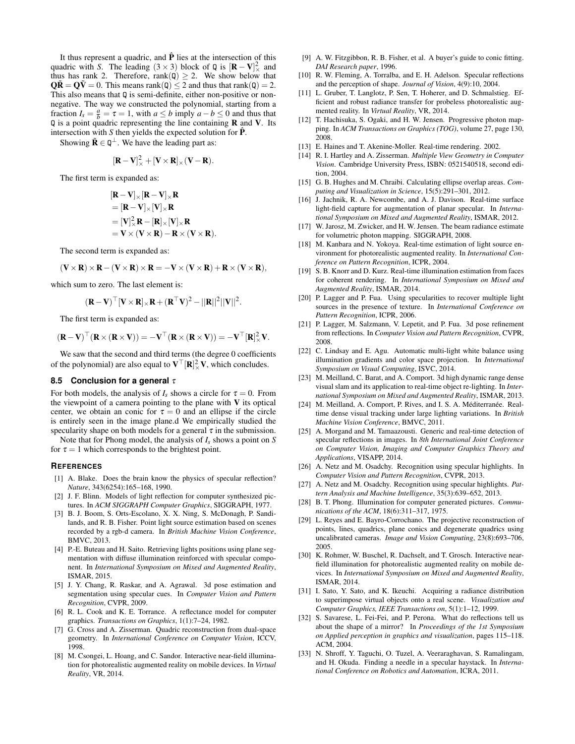It thus represent a quadric, and  $\hat{P}$  lies at the intersection of this quadric with *S*. The leading  $(3 \times 3)$  block of Q is  $[\mathbf{R} - \mathbf{V}]_{\times}^2$  and thus has rank 2. Therefore, rank( $Q$ )  $\geq$  2. We show below that  $QR = QV = 0$ . This means rank(Q)  $\leq 2$  and thus that rank(Q) = 2. This also means that Q is semi-definite, either non-positive or nonnegative. The way we constructed the polynomial, starting from a fraction  $I_s = \frac{a}{b} = \tau = 1$ , with  $a \le b$  imply  $a - b \le 0$  and thus that  $Q$  is a point quadric representing the line containing **R** and **V**. Its intersection with  $S$  then yields the expected solution for  $\hat{P}$ .

Showing  $\tilde{\mathbf{R}} \in \mathbb{Q}^{\perp}$ . We have the leading part as:

$$
[\mathbf{R}-\mathbf{V}]_{\times}^2 + [\mathbf{V} \times \mathbf{R}]_{\times} (\mathbf{V}-\mathbf{R}).
$$

The first term is expanded as:

$$
\begin{aligned} &[\mathbf{R}-\mathbf{V}]_{\times}[\mathbf{R}-\mathbf{V}]_{\times}\mathbf{R} \\ &= [\mathbf{R}-\mathbf{V}]_{\times}[\mathbf{V}]_{\times}\mathbf{R} \\ &= [\mathbf{V}]_{\times}^2\mathbf{R}-[\mathbf{R}]_{\times}[\mathbf{V}]_{\times}\mathbf{R} \\ &= \mathbf{V} \times (\mathbf{V} \times \mathbf{R}) - \mathbf{R} \times (\mathbf{V} \times \mathbf{R}). \end{aligned}
$$

The second term is expanded as:

$$
(\mathbf{V} \times \mathbf{R}) \times \mathbf{R} - (\mathbf{V} \times \mathbf{R}) \times \mathbf{R} = -\mathbf{V} \times (\mathbf{V} \times \mathbf{R}) + \mathbf{R} \times (\mathbf{V} \times \mathbf{R}),
$$

which sum to zero. The last element is:

$$
(\mathbf{R}-\mathbf{V})^{\top}[\mathbf{V}\times\mathbf{R}]_{\times}\mathbf{R}+(\mathbf{R}^{\top}\mathbf{V})^2-||\mathbf{R}||^2||\mathbf{V}||^2.
$$

The first term is expanded as:

$$
(\mathbf{R} - \mathbf{V})^{\top} (\mathbf{R} \times (\mathbf{R} \times \mathbf{V})) = -\mathbf{V}^{\top} (\mathbf{R} \times (\mathbf{R} \times \mathbf{V})) = -\mathbf{V}^{\top} [\mathbf{R}]_{\times}^{2} \mathbf{V}.
$$

We saw that the second and third terms (the degree 0 coefficients of the polynomial) are also equal to  $V^{\top}[R]^2_{\times}V$ , which concludes.

## **8.5 Conclusion for a general** τ

For both models, the analysis of  $I_s$  shows a circle for  $\tau = 0$ . From the viewpoint of a camera pointing to the plane with  $V$  its optical center, we obtain an conic for  $\tau = 0$  and an ellipse if the circle is entirely seen in the image plane.d We empirically studied the specularity shape on both models for a general  $\tau$  in the submission.

Note that for Phong model, the analysis of *Is* shows a point on *S* for  $\tau = 1$  which corresponds to the brightest point.

#### **REFERENCES**

- [1] A. Blake. Does the brain know the physics of specular reflection? *Nature*, 343(6254):165–168, 1990.
- [2] J. F. Blinn. Models of light reflection for computer synthesized pictures. In *ACM SIGGRAPH Computer Graphics*, SIGGRAPH, 1977.
- [3] B. J. Boom, S. Orts-Escolano, X. X. Ning, S. McDonagh, P. Sandilands, and R. B. Fisher. Point light source estimation based on scenes recorded by a rgb-d camera. In *British Machine Vision Conference*, BMVC, 2013.
- [4] P.-E. Buteau and H. Saito. Retrieving lights positions using plane segmentation with diffuse illumination reinforced with specular component. In *International Symposium on Mixed and Augmented Reality*, ISMAR, 2015.
- [5] J. Y. Chang, R. Raskar, and A. Agrawal. 3d pose estimation and segmentation using specular cues. In *Computer Vision and Pattern Recognition*, CVPR, 2009.
- [6] R. L. Cook and K. E. Torrance. A reflectance model for computer graphics. *Transactions on Graphics*, 1(1):7–24, 1982.
- [7] G. Cross and A. Zisserman. Quadric reconstruction from dual-space geometry. In *International Conference on Computer Vision*, ICCV, 1998.
- [8] M. Csongei, L. Hoang, and C. Sandor. Interactive near-field illumination for photorealistic augmented reality on mobile devices. In *Virtual Reality*, VR, 2014.
- [9] A. W. Fitzgibbon, R. B. Fisher, et al. A buyer's guide to conic fitting. *DAI Research paper*, 1996.
- [10] R. W. Fleming, A. Torralba, and E. H. Adelson. Specular reflections and the perception of shape. *Journal of Vision*, 4(9):10, 2004.
- [11] L. Gruber, T. Langlotz, P. Sen, T. Hoherer, and D. Schmalstieg. Efficient and robust radiance transfer for probeless photorealistic augmented reality. In *Virtual Reality*, VR, 2014.
- [12] T. Hachisuka, S. Ogaki, and H. W. Jensen. Progressive photon mapping. In *ACM Transactions on Graphics (TOG)*, volume 27, page 130, 2008.
- [13] E. Haines and T. Akenine-Moller. Real-time rendering. 2002.
- [14] R. I. Hartley and A. Zisserman. *Multiple View Geometry in Computer Vision*. Cambridge University Press, ISBN: 0521540518, second edition, 2004.
- [15] G. B. Hughes and M. Chraibi. Calculating ellipse overlap areas. *Computing and Visualization in Science*, 15(5):291–301, 2012.
- [16] J. Jachnik, R. A. Newcombe, and A. J. Davison. Real-time surface light-field capture for augmentation of planar specular. In *International Symposium on Mixed and Augmented Reality*, ISMAR, 2012.
- [17] W. Jarosz, M. Zwicker, and H. W. Jensen. The beam radiance estimate for volumetric photon mapping. SIGGRAPH, 2008.
- [18] M. Kanbara and N. Yokoya. Real-time estimation of light source environment for photorealistic augmented reality. In *International Conference on Pattern Recognition*, ICPR, 2004.
- [19] S. B. Knorr and D. Kurz. Real-time illumination estimation from faces for coherent rendering. In *International Symposium on Mixed and Augmented Reality*, ISMAR, 2014.
- [20] P. Lagger and P. Fua. Using specularities to recover multiple light sources in the presence of texture. In *International Conference on Pattern Recognition*, ICPR, 2006.
- [21] P. Lagger, M. Salzmann, V. Lepetit, and P. Fua. 3d pose refinement from reflections. In *Computer Vision and Pattern Recognition*, CVPR, 2008.
- [22] C. Lindsay and E. Agu. Automatic multi-light white balance using illumination gradients and color space projection. In *International Symposium on Visual Computing*, ISVC, 2014.
- [23] M. Meilland, C. Barat, and A. Comport. 3d high dynamic range dense visual slam and its application to real-time object re-lighting. In *International Symposium on Mixed and Augmented Reality*, ISMAR, 2013.
- [24] M. Meilland, A. Comport, P. Rives, and I. S. A. Méditerranée. Realtime dense visual tracking under large lighting variations. In *British Machine Vision Conference*, BMVC, 2011.
- [25] A. Morgand and M. Tamaazousti. Generic and real-time detection of specular reflections in images. In *8th International Joint Conference on Computer Vision, Imaging and Computer Graphics Theory and Applications*, VISAPP, 2014.
- [26] A. Netz and M. Osadchy. Recognition using specular highlights. In *Computer Vision and Pattern Recognition*, CVPR, 2013.
- [27] A. Netz and M. Osadchy. Recognition using specular highlights. *Pattern Analysis and Machine Intelligence*, 35(3):639–652, 2013.
- [28] B. T. Phong. Illumination for computer generated pictures. *Communications of the ACM*, 18(6):311–317, 1975.
- [29] L. Reyes and E. Bayro-Corrochano. The projective reconstruction of points, lines, quadrics, plane conics and degenerate quadrics using uncalibrated cameras. *Image and Vision Computing*, 23(8):693–706, 2005.
- [30] K. Rohmer, W. Buschel, R. Dachselt, and T. Grosch. Interactive nearfield illumination for photorealistic augmented reality on mobile devices. In *International Symposium on Mixed and Augmented Reality*, ISMAR, 2014.
- [31] I. Sato, Y. Sato, and K. Ikeuchi. Acquiring a radiance distribution to superimpose virtual objects onto a real scene. *Visualization and Computer Graphics, IEEE Transactions on*, 5(1):1–12, 1999.
- [32] S. Savarese, L. Fei-Fei, and P. Perona. What do reflections tell us about the shape of a mirror? In *Proceedings of the 1st Symposium on Applied perception in graphics and visualization*, pages 115–118. ACM, 2004.
- [33] N. Shroff, Y. Taguchi, O. Tuzel, A. Veeraraghavan, S. Ramalingam, and H. Okuda. Finding a needle in a specular haystack. In *International Conference on Robotics and Automation*, ICRA, 2011.